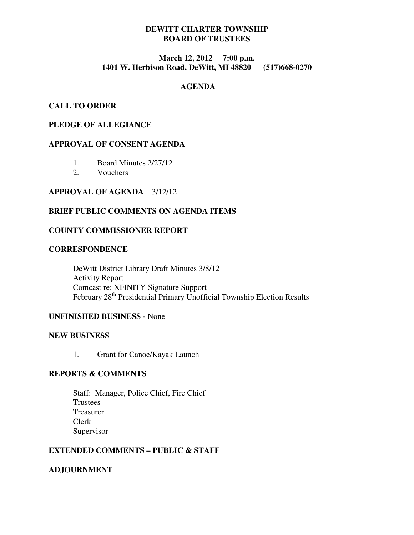# **DEWITT CHARTER TOWNSHIP BOARD OF TRUSTEES**

# **March 12, 2012 7:00 p.m. 1401 W. Herbison Road, DeWitt, MI 48820 (517)668-0270**

## **AGENDA**

## **CALL TO ORDER**

### **PLEDGE OF ALLEGIANCE**

### **APPROVAL OF CONSENT AGENDA**

- 1. Board Minutes 2/27/12
- 2. Vouchers

#### **APPROVAL OF AGENDA** 3/12/12

### **BRIEF PUBLIC COMMENTS ON AGENDA ITEMS**

### **COUNTY COMMISSIONER REPORT**

## **CORRESPONDENCE**

 DeWitt District Library Draft Minutes 3/8/12 Activity Report Comcast re: XFINITY Signature Support February 28<sup>th</sup> Presidential Primary Unofficial Township Election Results

# **UNFINISHED BUSINESS -** None

#### **NEW BUSINESS**

1. Grant for Canoe/Kayak Launch

### **REPORTS & COMMENTS**

Staff: Manager, Police Chief, Fire Chief **Trustees**  Treasurer Clerk Supervisor

### **EXTENDED COMMENTS – PUBLIC & STAFF**

### **ADJOURNMENT**